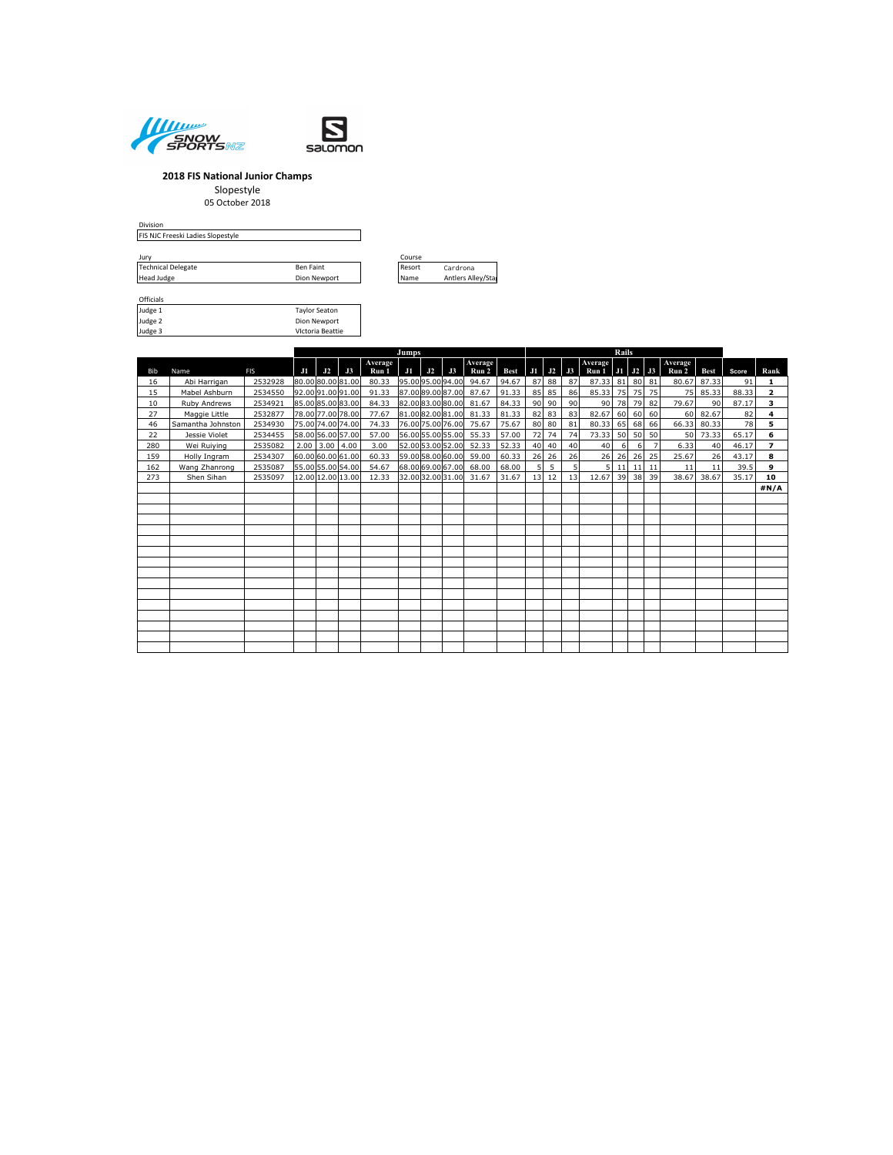



Taylor Seaton Dion Newport

#### **2018 FIS National Junior Champs**

Slopestyle

# 05 October 2018

Division FIS NJC Freeski Ladies Slopestyle

| Jurv                      |              | Course      |
|---------------------------|--------------|-------------|
| <b>Technical Delegate</b> | Ben Faint    | Resort      |
| Head Judge                | Dion Newport | <b>Name</b> |



| Officials |  |
|-----------|--|
| Judge 1   |  |
| Judge 2   |  |
| Judge 3   |  |

VIctoria Beattie **Jumps Rails** Bib Name FIS **J1 J2 J3 Average** Vverage 1 1 32 3 Average 1 1 32 3 Average 1 3 Average 1 3 Average 1 3 Average 1 3 Average 1 3 Average 1 3 Average 1 3 Average 1 3 Average 1 3 Average 1 3 Average 1 3 Average 1 3 Average 1 3 Average 1 3 Average 1 3 Average 16 | Abi Harrigan | 2532928 |80.00|80.00|81.00| 80.33 |95.00|95.00|94.00| 94.67 |94.67 | 87 |88 | 87 | 87.33 |81 |80 |81 | 80.67 |87.33 | 91 | 1<br>15 | Mabel Ashburn | 2534550 |92.00|91.00|91.00| 91.33 |87.00|89.00|87.00| 87 10 Ruby Andrews 2534921 85.00 85.00 83.00 84.33 82.00 83.00 80.00 81.67 84.33 90 90 90 90 78 79 82 79.67 90 87.17 **3** 27 Maggie Little 2532877 78.00 77.00 78.00 77.67 81.00 82.00 81.00 81.33 81.33 82 83 83 82.67 60 60 60 60 82.67 82 4<br>22 Jessie Violet 2534930 75.00 74.00 74.00 74.33 76.00 75.00 76.00 75.67 75.67 80 80 81 80.33 65 68 66 66 46 Samantha Johnston 2534930 75.00 74.00 74.00 74.33 76.00 75.00 76.00 75.67 75.67 80 80 81 80.33 65 68 66 66.33 80.33 78 **5** 22 Jessie Violet 2534455 58.00 56.00 57.00 57.00 56.00 55.00 55.00 55.33 57.00 72 74 74 73.33 50 50 50 50 73.33 65.17 **6** 280 Wei Ruiying 2535082 2.00 3.00 4.00 3.00 52.00 53.00 52.00 52.33 52.33 40 40 40 40 6 6 7 6.33 40 46.17 **7** 159 Holly Ingram 2534307 60.00 60.00 61.00 60.33 59.00 58.00 60.00 59.00 60.33 26 26 26 26 26 26 26 25 25.67 26 43.17 **8**<br>162 Wang Zhanrong 2535087 55.00 55.00 54.00 54.67 68.00 69.00 67.00 68.00 68.00 5 5 5 5 11 11 11 11 162 Wang Zhanrong 2535087 55.00 55.00 54.00 54.67 68.00 69.00 67.00 68.00 68.00 5 5 5 5 11 11 11 11 11 39.5 **9** 273 Shen Sihan 2535097 12.00 12.00 13.00 12.33 32.00 32.00 31.00 31.67 31.67 13 12 13 12.67 39 38 39 38.67 38.67 35.17 **10**

**#N/A**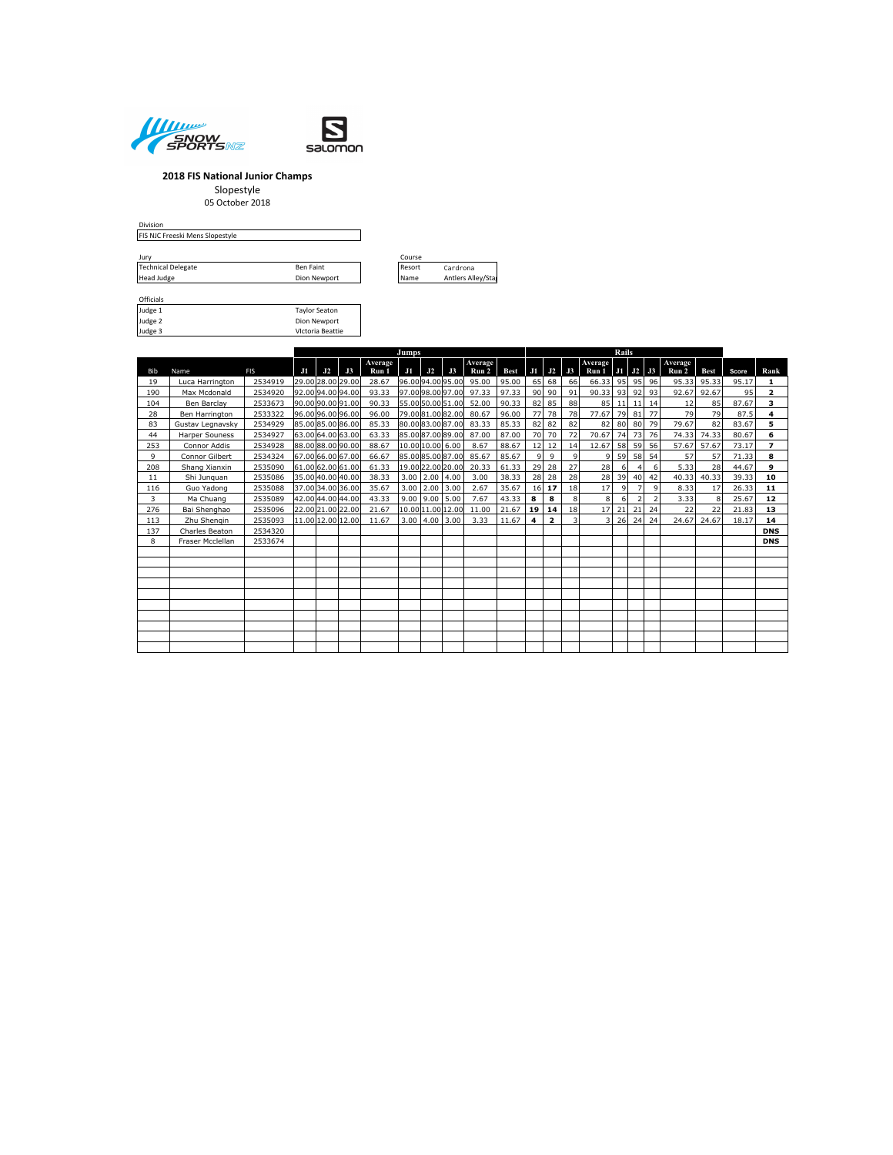



## **2018 FIS National Junior Champs**

Slopestyle

05 October 2018

Division FIS NJC Freeski Mens Slopestyle

| Jurv                      | Course       |             |                   |
|---------------------------|--------------|-------------|-------------------|
| <b>Technical Delegate</b> | Ben Faint    | Resort      | Cardrona          |
| Head Judge                | Dion Newport | <b>Name</b> | Antlers Alley/Sta |



| Officials      |                      |
|----------------|----------------------|
| Judge 1        | <b>Taylor Seaton</b> |
| Judge 2        | Dion Newport         |
| <b>F</b> ephul | Victoria Reattie     |

VIctoria Beattie

|              |                       |            |    |    |                   |                  | Jumps |                          |                   |                  |       |              | <b>Rails</b>            |    |                                      |    |    |                          |                  |             |       |                |
|--------------|-----------------------|------------|----|----|-------------------|------------------|-------|--------------------------|-------------------|------------------|-------|--------------|-------------------------|----|--------------------------------------|----|----|--------------------------|------------------|-------------|-------|----------------|
| Bib          | Name                  | <b>FIS</b> | J1 | J2 | J3                | Average<br>Run 1 | J1    | J2                       | J3                | Average<br>Run 2 | Best  |              | $J1$ $J2$               | J3 | Average<br>Run $1$ J $1$ J $2$ J $3$ |    |    |                          | Average<br>Run 2 | <b>Best</b> | Score | Rank           |
| 19           | Luca Harrington       | 2534919    |    |    | 29.00 28.00 29.00 | 28.67            |       | 96.0094.0095.00          |                   | 95.00            | 95.00 |              | $65$ 68                 | 66 | 66.33                                | 95 | 95 | 96                       | 95.33            | 95.33       | 95.17 | 1              |
| 190          | Max Mcdonald          | 2534920    |    |    | 92.0094.0094.00   | 93.33            |       | 97.0098.0097.00          |                   | 97.33            | 97.33 |              | $90$ 90                 | 91 | 90.33                                | 93 | 92 | 93                       | 92.67            | 92.67       | 95    | $\overline{2}$ |
| 104          | Ben Barclay           | 2533673    |    |    | 90.0090.0091.00   | 90.33            |       | 55.0050.0051.00          |                   | 52.00            | 90.33 | 82           | 85                      | 88 | 85                                   | 11 | 11 | 14                       | 12               | 85          | 87.67 | 3              |
| 28           | Ben Harrington        | 2533322    |    |    | 96.0096.0096.00   | 96.00            |       |                          | 79.0081.0082.00   | 80.67            | 96.00 | 77           | 78                      | 78 | 77.67                                | 79 | 81 | 77                       | 79               | 79          | 87.5  | 4              |
| 83           | Gustav Legnavsky      | 2534929    |    |    | 85.00 85.00 86.00 | 85.33            |       |                          | 80.0083.0087.00   | 83.33            | 85.33 |              | 82 82                   | 82 | 82                                   | 80 | 80 | 79                       | 79.67            | 82          | 83.67 | 5              |
| 44           | <b>Harper Souness</b> | 2534927    |    |    | 63.00 64.00 63.00 | 63.33            |       |                          | 85.0087.0089.00   | 87.00            | 87.00 |              | 70 70                   | 72 | 70.67                                | 74 | 73 | 76                       | 74.33            | 74.33       | 80.67 | 6              |
| 253          | Connor Addis          | 2534928    |    |    | 88.0088.0090.00   | 88.67            |       | 10.00 10.00 6.00         |                   | 8.67             | 88.67 |              | $12$ 12                 | 14 | 12.67                                | 58 | 59 | 56                       | 57.67            | 57.67       | 73.17 | $\overline{ }$ |
| $\mathbf{Q}$ | Connor Gilbert        | 2534324    |    |    | 67.00 66.00 67.00 | 66.67            |       |                          | 85.0085.0087.00   | 85.67            | 85.67 | $\mathbf{q}$ | $\mathbf{q}$            | 9  | 9                                    | 59 | 58 | 54                       | 57               | 57          | 71.33 | 8              |
| 208          | Shang Xianxin         | 2535090    |    |    | 61.00 62.00 61.00 | 61.33            |       |                          | 19.00 22.00 20.00 | 20.33            | 61.33 | 29           | 28                      | 27 | 28                                   | 6  |    | 6                        | 5.33             | 28          | 44.67 | 9              |
| 11           | Shi Junguan           | 2535086    |    |    | 35.00 40.00 40.00 | 38.33            |       | $3.00$ 2.00 4.00         |                   | 3.00             | 38.33 | 28           | 28                      | 28 | 28                                   | 39 | 40 | 42                       | 40.33            | 40.33       | 39.33 | 10             |
| 116          | Guo Yadong            | 2535088    |    |    | 37.00 34.00 36.00 | 35.67            |       | $3.00$   $2.00$   $3.00$ |                   | 2.67             | 35.67 |              | $16$ 17                 | 18 | 17                                   | 9  |    | 9                        | 8.33             | 17          | 26.33 | 11             |
| 3            | Ma Chuang             | 2535089    |    |    | 42.00 44.00 44.00 | 43.33            |       | $9.00$   $9.00$   5.00   |                   | 7.67             | 43.33 | 8            | 8                       | 8  | 8                                    | 6  |    | $\overline{\phantom{0}}$ | 3.33             | 8           | 25.67 | 12             |
| 276          | Bai Shenghao          | 2535096    |    |    | 22.00 21.00 22.00 | 21.67            |       | 10.00 11.00 12.00        |                   | 11.00            | 21.67 | 19           | 14                      | 18 | 17                                   | 21 | 21 | 24                       | 22               | 22          | 21.83 | 13             |
| 113          | Zhu Shengin           | 2535093    |    |    | 11.00 12.00 12.00 | 11.67            |       | $3.00$   4.00   3.00     |                   | 3.33             | 11.67 | 4            | $\overline{\mathbf{z}}$ | 3  | 3                                    | 26 | 24 | 24                       | 24.67            | 24.67       | 18.17 | 14             |
| 137          | Charles Beaton        | 2534320    |    |    |                   |                  |       |                          |                   |                  |       |              |                         |    |                                      |    |    |                          |                  |             |       | <b>DNS</b>     |
| 8            | Fraser Mcclellan      | 2533674    |    |    |                   |                  |       |                          |                   |                  |       |              |                         |    |                                      |    |    |                          |                  |             |       | <b>DNS</b>     |
|              |                       |            |    |    |                   |                  |       |                          |                   |                  |       |              |                         |    |                                      |    |    |                          |                  |             |       |                |
|              |                       |            |    |    |                   |                  |       |                          |                   |                  |       |              |                         |    |                                      |    |    |                          |                  |             |       |                |
|              |                       |            |    |    |                   |                  |       |                          |                   |                  |       |              |                         |    |                                      |    |    |                          |                  |             |       |                |
|              |                       |            |    |    |                   |                  |       |                          |                   |                  |       |              |                         |    |                                      |    |    |                          |                  |             |       |                |
|              |                       |            |    |    |                   |                  |       |                          |                   |                  |       |              |                         |    |                                      |    |    |                          |                  |             |       |                |
|              |                       |            |    |    |                   |                  |       |                          |                   |                  |       |              |                         |    |                                      |    |    |                          |                  |             |       |                |
|              |                       |            |    |    |                   |                  |       |                          |                   |                  |       |              |                         |    |                                      |    |    |                          |                  |             |       |                |
|              |                       |            |    |    |                   |                  |       |                          |                   |                  |       |              |                         |    |                                      |    |    |                          |                  |             |       |                |
|              |                       |            |    |    |                   |                  |       |                          |                   |                  |       |              |                         |    |                                      |    |    |                          |                  |             |       |                |
|              |                       |            |    |    |                   |                  |       |                          |                   |                  |       |              |                         |    |                                      |    |    |                          |                  |             |       |                |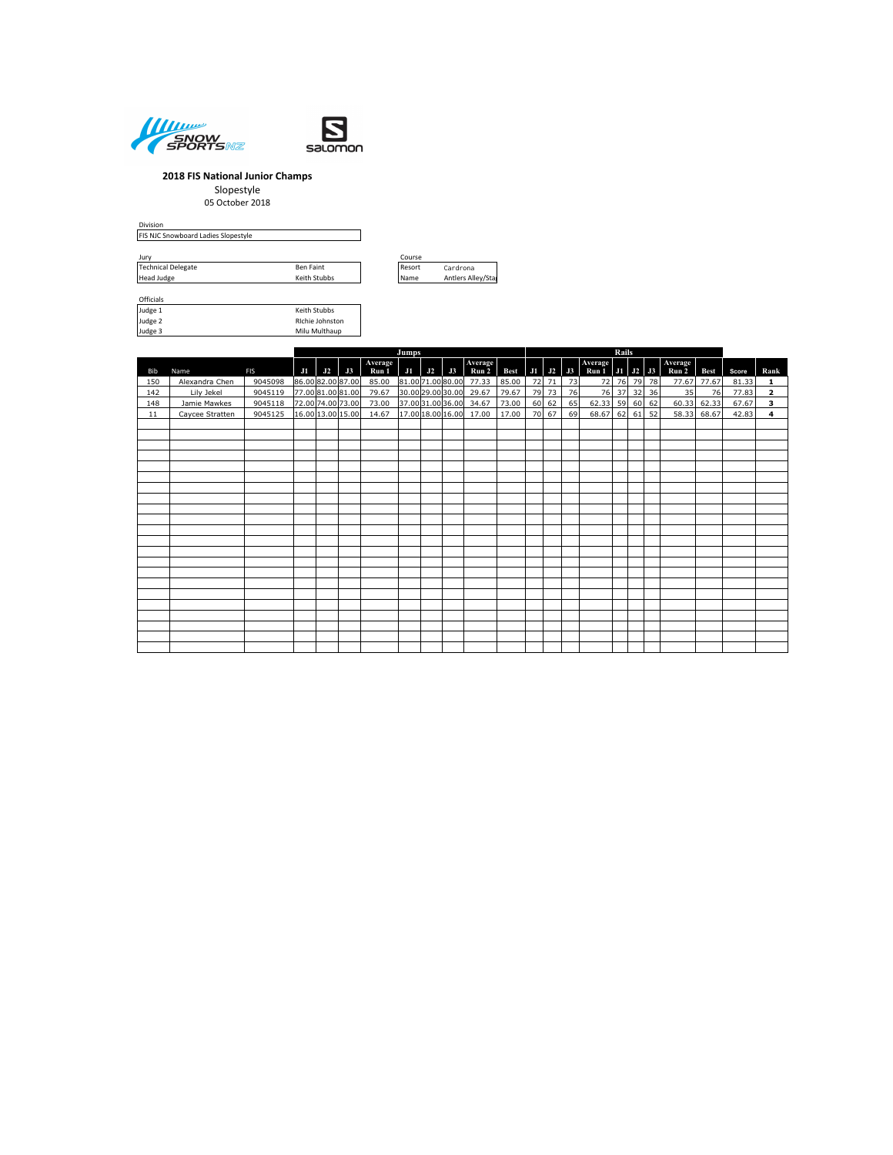



 $\mathbb{R}^2$ 

### **2018 FIS National Junior Champs**

Slopestyle

05 October 2018

Division FIS NJC Snowboard Ladies Slopestyle

| Jurv                      |              | Course |                    |  |  |  |  |  |
|---------------------------|--------------|--------|--------------------|--|--|--|--|--|
| <b>Technical Delegate</b> | Ben Faint    | Resort | Cardrona           |  |  |  |  |  |
| Head Judge                | Keith Stubbs |        | Antlers Alley/Stal |  |  |  |  |  |



Officials<br>Judge 1<br>Judge 2<br>Judge 3

Keith Stubbs Richie Johnston Milu Multhaup

|     |                 |            |    | Jumps |                   |                  |                   |    |    |                  |             |           |       | Rails          |                                 |    |    |    |                  |             |       |                         |  |
|-----|-----------------|------------|----|-------|-------------------|------------------|-------------------|----|----|------------------|-------------|-----------|-------|----------------|---------------------------------|----|----|----|------------------|-------------|-------|-------------------------|--|
| Bib | Name            | <b>FIS</b> | J1 | J2    | J3                | Average<br>Run 1 | J1                | J2 | J3 | Average<br>Run 2 | <b>Best</b> |           |       | $J1$ $J2$ $J3$ | Average<br>Run 1   J1   J2   J3 |    |    |    | Average<br>Run 2 | <b>Best</b> | Score | Rank                    |  |
| 150 | Alexandra Chen  | 9045098    |    |       | 86.00 82.00 87.00 | 85.00            | 81.00 71.00 80.00 |    |    | 77.33            | 85.00       |           | 72 71 | 73             | 72                              | 76 | 79 | 78 | 77.67            | 77.67       | 81.33 | $\mathbf{1}$            |  |
| 142 | Lily Jekel      | 9045119    |    |       | 77.00 81.00 81.00 | 79.67            | 30.00 29.00 30.00 |    |    | 29.67            | 79.67       |           | 79 73 | 76             | 76                              | 37 | 32 | 36 | 35               | 76          | 77.83 | $\mathbf{z}$            |  |
| 148 | Jamie Mawkes    | 9045118    |    |       | 72.00 74.00 73.00 | 73.00            | 37.00 31.00 36.00 |    |    | 34.67            | 73.00       | 60        | 62    | 65             | 62.33                           | 59 | 60 | 62 | 60.33            | 62.33       | 67.67 | з                       |  |
| 11  | Caycee Stratten | 9045125    |    |       | 16.00 13.00 15.00 | 14.67            | 17.00 18.00 16.00 |    |    | 17.00            | 17.00       | <b>70</b> | 67    | 69             | 68.67                           | 62 | 61 | 52 | 58.33            | 68.67       | 42.83 | $\overline{\mathbf{4}}$ |  |
|     |                 |            |    |       |                   |                  |                   |    |    |                  |             |           |       |                |                                 |    |    |    |                  |             |       |                         |  |
|     |                 |            |    |       |                   |                  |                   |    |    |                  |             |           |       |                |                                 |    |    |    |                  |             |       |                         |  |
|     |                 |            |    |       |                   |                  |                   |    |    |                  |             |           |       |                |                                 |    |    |    |                  |             |       |                         |  |
|     |                 |            |    |       |                   |                  |                   |    |    |                  |             |           |       |                |                                 |    |    |    |                  |             |       |                         |  |
|     |                 |            |    |       |                   |                  |                   |    |    |                  |             |           |       |                |                                 |    |    |    |                  |             |       |                         |  |
|     |                 |            |    |       |                   |                  |                   |    |    |                  |             |           |       |                |                                 |    |    |    |                  |             |       |                         |  |
|     |                 |            |    |       |                   |                  |                   |    |    |                  |             |           |       |                |                                 |    |    |    |                  |             |       |                         |  |
|     |                 |            |    |       |                   |                  |                   |    |    |                  |             |           |       |                |                                 |    |    |    |                  |             |       |                         |  |
|     |                 |            |    |       |                   |                  |                   |    |    |                  |             |           |       |                |                                 |    |    |    |                  |             |       |                         |  |
|     |                 |            |    |       |                   |                  |                   |    |    |                  |             |           |       |                |                                 |    |    |    |                  |             |       |                         |  |
|     |                 |            |    |       |                   |                  |                   |    |    |                  |             |           |       |                |                                 |    |    |    |                  |             |       |                         |  |
|     |                 |            |    |       |                   |                  |                   |    |    |                  |             |           |       |                |                                 |    |    |    |                  |             |       |                         |  |
|     |                 |            |    |       |                   |                  |                   |    |    |                  |             |           |       |                |                                 |    |    |    |                  |             |       |                         |  |
|     |                 |            |    |       |                   |                  |                   |    |    |                  |             |           |       |                |                                 |    |    |    |                  |             |       |                         |  |
|     |                 |            |    |       |                   |                  |                   |    |    |                  |             |           |       |                |                                 |    |    |    |                  |             |       |                         |  |
|     |                 |            |    |       |                   |                  |                   |    |    |                  |             |           |       |                |                                 |    |    |    |                  |             |       |                         |  |
|     |                 |            |    |       |                   |                  |                   |    |    |                  |             |           |       |                |                                 |    |    |    |                  |             |       |                         |  |
|     |                 |            |    |       |                   |                  |                   |    |    |                  |             |           |       |                |                                 |    |    |    |                  |             |       |                         |  |
|     |                 |            |    |       |                   |                  |                   |    |    |                  |             |           |       |                |                                 |    |    |    |                  |             |       |                         |  |
|     |                 |            |    |       |                   |                  |                   |    |    |                  |             |           |       |                |                                 |    |    |    |                  |             |       |                         |  |
|     |                 |            |    |       |                   |                  |                   |    |    |                  |             |           |       |                |                                 |    |    |    |                  |             |       |                         |  |
|     |                 |            |    |       |                   |                  |                   |    |    |                  |             |           |       |                |                                 |    |    |    |                  |             |       |                         |  |